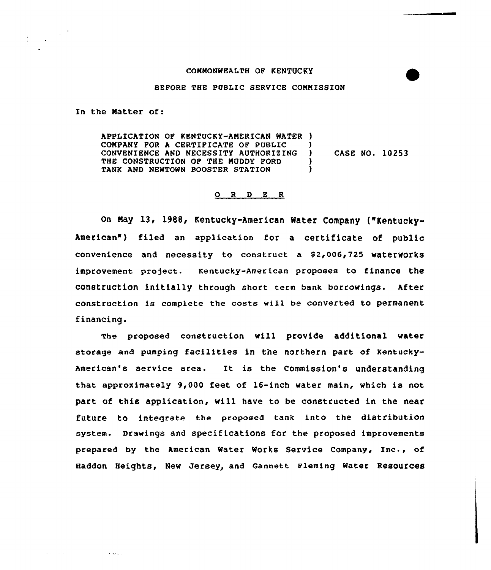## COMMONWEALTH OF KENTUCKY

## BEPORE THE PUBLIC SERVICE COMMISSION

In the Matter of:

 $\label{eq:2} \frac{1}{\sqrt{2}}\left(\frac{1}{\sqrt{2}}\right)^{\frac{1}{2}}\frac{1}{\sqrt{2}}\left(\frac{1}{\sqrt{2}}\right)^{\frac{1}{2}}\frac{1}{\sqrt{2}}\left(\frac{1}{\sqrt{2}}\right)^{\frac{1}{2}}\frac{1}{\sqrt{2}}\left(\frac{1}{\sqrt{2}}\right)^{\frac{1}{2}}\frac{1}{\sqrt{2}}\left(\frac{1}{\sqrt{2}}\right)^{\frac{1}{2}}\frac{1}{\sqrt{2}}\left(\frac{1}{\sqrt{2}}\right)^{\frac{1}{2}}\frac{1}{\sqrt{2}}\left(\frac{1}{\sqrt{2$ 

and control

المعجزة

APPLICATION OP KENTUCKY-AMERICAN WATER ) COMPANY FOR A CERTIFICATE OF PUBLIC (1)<br>CONVENIENCE AND NECESSITY AUTHORIZING (1) CONVENIENCE AND NECESSITY AUTHORIZING THE CONSTRUCTION OF THE MUDDY FORD (1) TANK AND NEWTOWN BOOSTER STATION CASE NO. 10253

## 0 <sup>R</sup> <sup>D</sup> <sup>E</sup> <sup>R</sup>

on May 13, 1988, Kentucky-American Mater Company ("Kentucky-American") filed an application for a certificate of public convenience and necessity to construct a 82,006,725 waterworks improvement project. Kentucky-American proposes to finance the construction initially through short term bank borrowings. After construction is complete the costs will be converted to permanent financing.

The proposed construction vill provide additional water storage and pumping facilities in tne northern part of Kentucky-American's service area. It is the Commission's understanding that approximately 9,000 feet of 16-inch water main, which is not part of this application, wi11 have to be constructed in the near future to integrate the proposed tank into the distribution system. Drawings and specifications for the proposed improvements prepared by the American Water Works Service Company, Inc., of Haddon Heights, New Jersey, and Gannett Fleming water Resources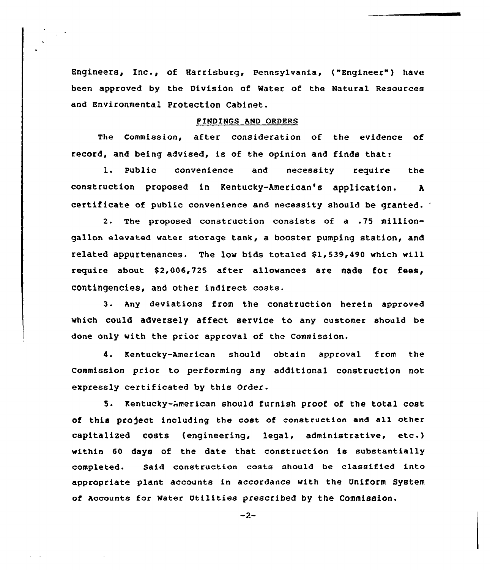Engineers, Inc., of Harrisburg, Pennsylvania, ("Engineer" ) have been approved by the Division of Mater of the Natural Resources and Environmental Protection Cabinet.

## PINDINGS AND ORDERS

The Commission, after consideration of the evidence of record, and being advised, is of the opinion and finds that:

l. Public convenience and necessity require the construction proposed in Kentucky-American's application. <sup>A</sup> certificate of public convenience and necessity should be granted.

2. The proposed construction consists of a .75 milliongallon elevated water storage tank, a booster pumping station, and related appurtenances. The low bids totaled Sl,539,490 which will require about \$2,006,725 after allowances are made for fees, contingencies, and other indirect costs.

3. Any deviations from the construction herein approved which could adversely affect service to any customer should be done only with the prior approval of the Commission.

4. Kentucky-American should obtain approval from the Commission prior to performing any additional construction not expressly certificated by this Order.

5. Rentucky-American should furnish proof of the total cost of this project including the cost of construction and all other capitalized costs (engineering, legal, administrative, etc.) within 60 days of the date that construction is substantially completed. Said construction costs should be classified into appropriate plant accounts in accordance with the Uniform System of Accounts for Water Utilities prescribed by the Commission.

 $-2-$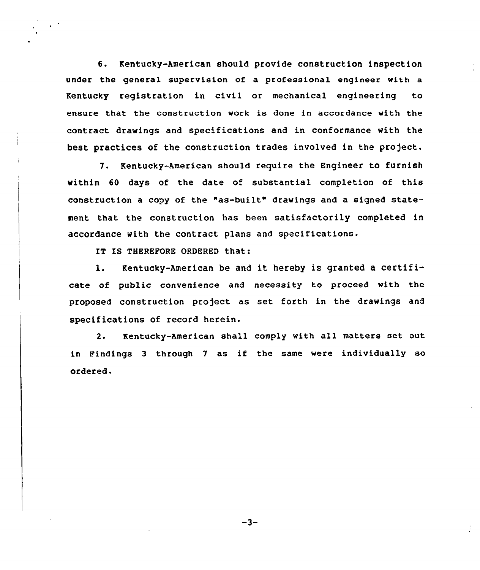6. Kentucky-American should provide construction inspection under the general supervision of a professional engineer with a Kentucky registration in civil or mechanical engineering to ensure that the construction work is done in accordance with the contract drawings and specifications and in conformance with the best practices of the construction trades involved in the project.

7. Kentucky-American should require the Engineer to furnish within 60 days of the date of substantial completion of this construction a copy of the "as-built" drawings and a signed statement that the construction has been satisfactorily completed in accordance with the contract plans and specifications.

IT IS THEREFORE ORDERED that:

1. Kentucky-American be and it hereby is granted <sup>a</sup> certificate of public convenience and necessity to proceed with the proposed construction project as set forth in the drawings and specifications of record herein.

2. Kentucky-American shall comply with all matters set out in Findings <sup>3</sup> through <sup>7</sup> as if the same were individually so ordered.

 $-3-$